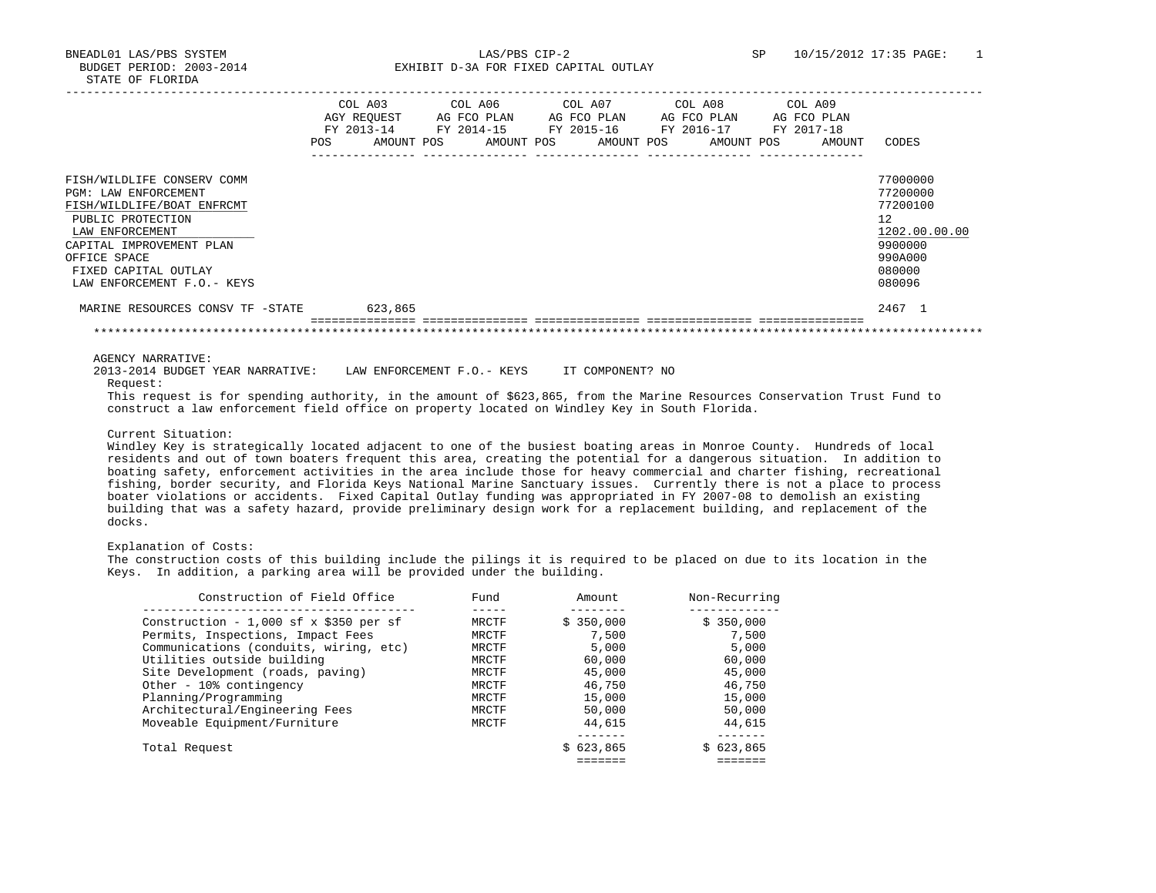BNEADL01 LAS/PBS SYSTEM LAS/PBS CIP-2 SP 10/15/2012 17:35 PAGE: 1 BUDGET PERIOD: 2003-2014 **EXHIBIT D-3A FOR FIXED CAPITAL OUTLAY** 

|                                                                                                                                                                                                                             | POS | COL A03<br>AGY REOUEST<br>FY 2013-14 FY 2014-15<br>AMOUNT POS | COL A06<br>AG FCO PLAN |  | AG FCO PLAN | COL A07 COL A08<br>AG FCO PLAN<br>FY 2015-16 FY 2016-17<br>AMOUNT POS AMOUNT POS AMOUNT POS | COL A09<br>AG FCO PLAN<br>FY 2017-18<br>AMOUNT | CODES                                                                                             |
|-----------------------------------------------------------------------------------------------------------------------------------------------------------------------------------------------------------------------------|-----|---------------------------------------------------------------|------------------------|--|-------------|---------------------------------------------------------------------------------------------|------------------------------------------------|---------------------------------------------------------------------------------------------------|
| FISH/WILDLIFE CONSERV COMM<br>PGM: LAW ENFORCEMENT<br>FISH/WILDLIFE/BOAT ENFRCMT<br>PUBLIC PROTECTION<br>LAW ENFORCEMENT<br>CAPITAL IMPROVEMENT PLAN<br>OFFICE SPACE<br>FIXED CAPITAL OUTLAY<br>LAW ENFORCEMENT F.O. - KEYS |     |                                                               |                        |  |             |                                                                                             |                                                | 77000000<br>77200000<br>77200100<br>12<br>1202.00.00.00<br>9900000<br>990A000<br>080000<br>080096 |
| MARINE RESOURCES CONSV TF -STATE                                                                                                                                                                                            |     | 623,865                                                       |                        |  |             |                                                                                             |                                                | 2467 1                                                                                            |
|                                                                                                                                                                                                                             |     |                                                               |                        |  |             |                                                                                             |                                                |                                                                                                   |

AGENCY NARRATIVE:

 2013-2014 BUDGET YEAR NARRATIVE: LAW ENFORCEMENT F.O.- KEYS IT COMPONENT? NO Request:

 This request is for spending authority, in the amount of \$623,865, from the Marine Resources Conservation Trust Fund to construct a law enforcement field office on property located on Windley Key in South Florida.

# Current Situation:

 Windley Key is strategically located adjacent to one of the busiest boating areas in Monroe County. Hundreds of local residents and out of town boaters frequent this area, creating the potential for a dangerous situation. In addition to boating safety, enforcement activities in the area include those for heavy commercial and charter fishing, recreational fishing, border security, and Florida Keys National Marine Sanctuary issues. Currently there is not a place to process boater violations or accidents. Fixed Capital Outlay funding was appropriated in FY 2007-08 to demolish an existing building that was a safety hazard, provide preliminary design work for a replacement building, and replacement of the docks.

# Explanation of Costs:

 The construction costs of this building include the pilings it is required to be placed on due to its location in the Keys. In addition, a parking area will be provided under the building.

| Construction of Field Office           | Fund  | Amount    | Non-Recurring |
|----------------------------------------|-------|-----------|---------------|
| Construction - 1,000 sf x \$350 per sf | MRCTF | \$350,000 | \$350,000     |
| Permits, Inspections, Impact Fees      | MRCTF | 7,500     | 7,500         |
| Communications (conduits, wiring, etc) | MRCTF | 5,000     | 5,000         |
| Utilities outside building             | MRCTF | 60,000    | 60,000        |
| Site Development (roads, paving)       | MRCTF | 45,000    | 45,000        |
| Other - 10% contingency                | MRCTF | 46,750    | 46,750        |
| Planning/Programming                   | MRCTF | 15,000    | 15,000        |
| Architectural/Engineering Fees         | MRCTF | 50,000    | 50,000        |
| Moveable Equipment/Furniture           | MRCTF | 44,615    | 44,615        |
|                                        |       |           |               |
| Total Request                          |       | \$623.865 | \$623.865     |
|                                        |       |           |               |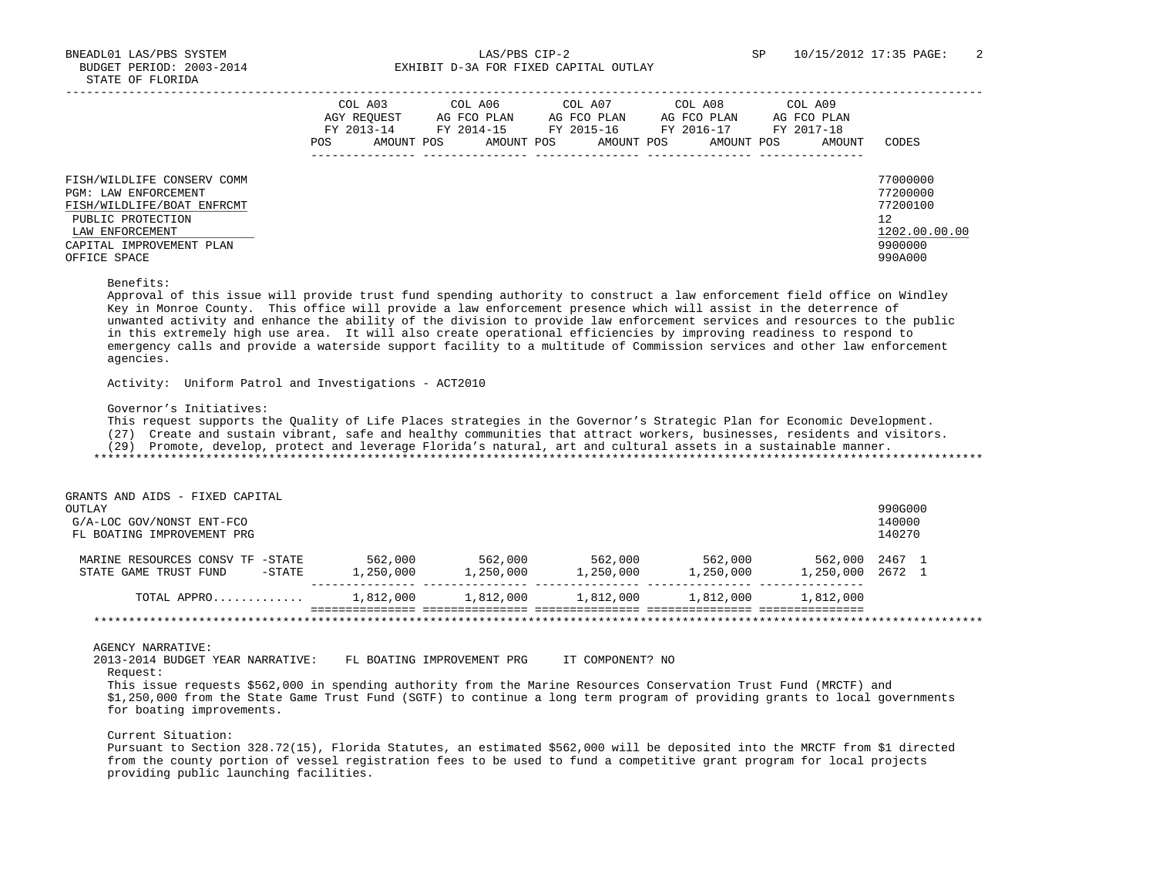|                                                                                                                                                                      | COL A03<br>AGY REOUEST<br>FY 2013-14<br><b>POS</b> | COL A06<br>AG FCO PLAN<br>FY 2014-15<br>AMOUNT POS<br>AMOUNT POS | COL A07<br>AG FCO PLAN<br>FY 2015-16<br>AMOUNT POS | COL A08<br>AG FCO PLAN<br>FY 2016-17<br>AMOUNT POS | COL A09<br>AG FCO PLAN<br>FY 2017-18<br>AMOUNT | CODES                                                                         |
|----------------------------------------------------------------------------------------------------------------------------------------------------------------------|----------------------------------------------------|------------------------------------------------------------------|----------------------------------------------------|----------------------------------------------------|------------------------------------------------|-------------------------------------------------------------------------------|
| FISH/WILDLIFE CONSERV COMM<br>PGM: LAW ENFORCEMENT<br>FISH/WILDLIFE/BOAT ENFRCMT<br>PUBLIC PROTECTION<br>LAW ENFORCEMENT<br>CAPITAL IMPROVEMENT PLAN<br>OFFICE SPACE |                                                    |                                                                  |                                                    |                                                    |                                                | 77000000<br>77200000<br>77200100<br>12<br>1202.00.00.00<br>9900000<br>990A000 |

#### Benefits:

 Approval of this issue will provide trust fund spending authority to construct a law enforcement field office on Windley Key in Monroe County. This office will provide a law enforcement presence which will assist in the deterrence of unwanted activity and enhance the ability of the division to provide law enforcement services and resources to the public in this extremely high use area. It will also create operational efficiencies by improving readiness to respond to emergency calls and provide a waterside support facility to a multitude of Commission services and other law enforcement agencies.

Activity: Uniform Patrol and Investigations - ACT2010

# Governor's Initiatives:

This request supports the Quality of Life Places strategies in the Governor's Strategic Plan for Economic Development.

(27) Create and sustain vibrant, safe and healthy communities that attract workers, businesses, residents and visitors.

(29) Promote, develop, protect and leverage Florida's natural, art and cultural assets in a sustainable manner.

\*\*\*\*\*\*\*\*\*\*\*\*\*\*\*\*\*\*\*\*\*\*\*\*\*\*\*\*\*\*\*\*\*\*\*\*\*\*\*\*\*\*\*\*\*\*\*\*\*\*\*\*\*\*\*\*\*\*\*\*\*\*\*\*\*\*\*\*\*\*\*\*\*\*\*\*\*\*\*\*\*\*\*\*\*\*\*\*\*\*\*\*\*\*\*\*\*\*\*\*\*\*\*\*\*\*\*\*\*\*\*\*\*\*\*\*\*\*\*\*\*\*\*\*\*\*\*

| GRANTS AND AIDS - FIXED CAPITAL     |           |           |           |           |                  |         |  |
|-------------------------------------|-----------|-----------|-----------|-----------|------------------|---------|--|
| OUTLAY                              |           |           |           |           |                  | 990G000 |  |
| G/A-LOC GOV/NONST ENT-FCO           |           |           |           |           |                  | 140000  |  |
| FL BOATING IMPROVEMENT PRG          |           |           |           |           |                  | 140270  |  |
| MARINE RESOURCES CONSV TF<br>-STATE | 562,000   | 562,000   | 562,000   | 562,000   | 562,000 2467 1   |         |  |
| -STATE<br>STATE GAME TRUST FUND     | 1,250,000 | 1,250,000 | 1,250,000 | 1,250,000 | 1,250,000 2672 1 |         |  |
| TOTAL APPRO                         | 1,812,000 | 1,812,000 | 1,812,000 | 1,812,000 | 1,812,000        |         |  |
|                                     |           |           |           |           |                  |         |  |

#### AGENCY NARRATIVE:

 2013-2014 BUDGET YEAR NARRATIVE: FL BOATING IMPROVEMENT PRG IT COMPONENT? NO Request:

 This issue requests \$562,000 in spending authority from the Marine Resources Conservation Trust Fund (MRCTF) and \$1,250,000 from the State Game Trust Fund (SGTF) to continue a long term program of providing grants to local governments for boating improvements.

# Current Situation:

 Pursuant to Section 328.72(15), Florida Statutes, an estimated \$562,000 will be deposited into the MRCTF from \$1 directed from the county portion of vessel registration fees to be used to fund a competitive grant program for local projects providing public launching facilities.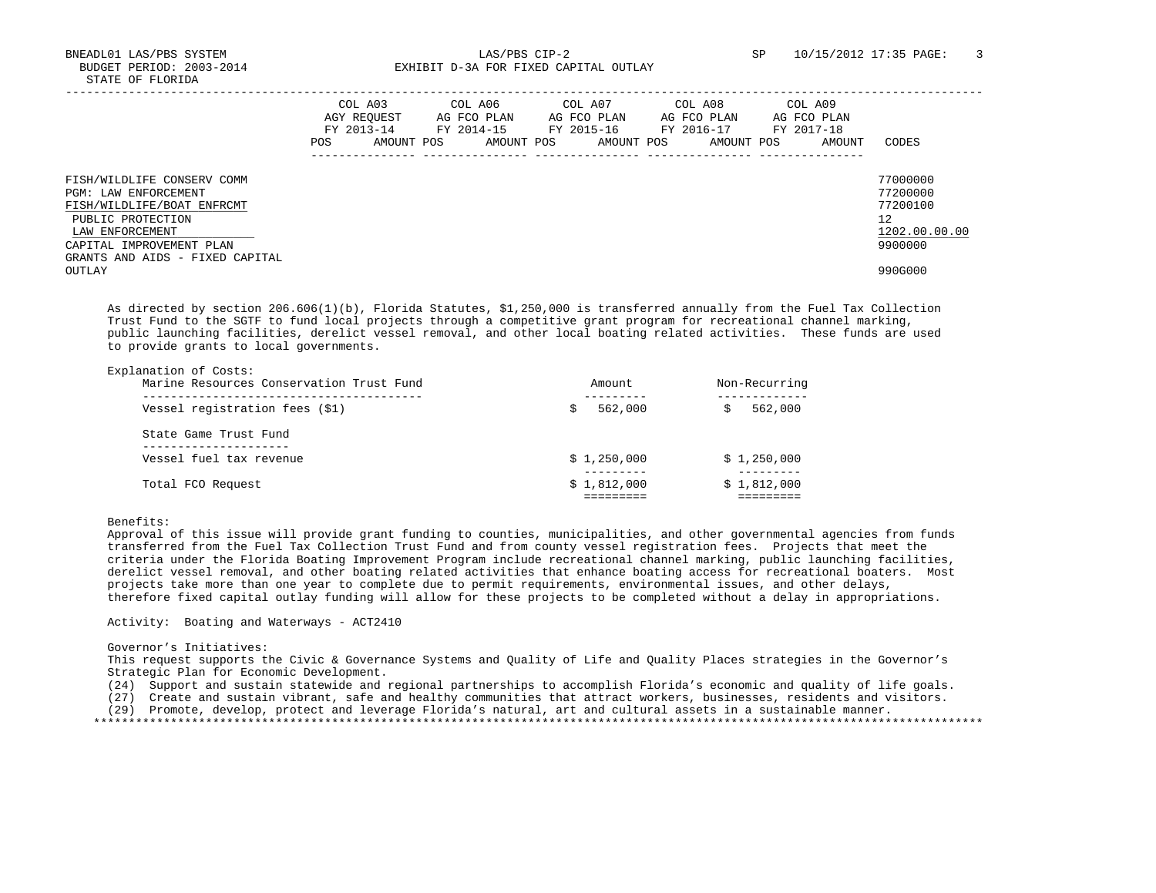|                                                                                                                                                                                         | <b>POS</b> | COL A03<br>AGY REOUEST<br>FY 2013-14<br>AMOUNT POS | COL A06<br>AG FCO PLAN<br>FY 2014-15<br>AMOUNT POS | COL A07<br>AG FCO PLAN<br>FY 2015-16<br>AMOUNT POS | COL A08<br>AG FCO PLAN<br>FY 2016-17<br>AMOUNT POS | COL A09<br>AG FCO PLAN<br>FY 2017-18<br>AMOUNT | CODES                                                              |
|-----------------------------------------------------------------------------------------------------------------------------------------------------------------------------------------|------------|----------------------------------------------------|----------------------------------------------------|----------------------------------------------------|----------------------------------------------------|------------------------------------------------|--------------------------------------------------------------------|
| FISH/WILDLIFE CONSERV COMM<br>PGM: LAW ENFORCEMENT<br>FISH/WILDLIFE/BOAT ENFRCMT<br>PUBLIC PROTECTION<br>LAW ENFORCEMENT<br>CAPITAL IMPROVEMENT PLAN<br>GRANTS AND AIDS - FIXED CAPITAL |            |                                                    |                                                    |                                                    |                                                    |                                                | 77000000<br>77200000<br>77200100<br>12<br>1202.00.00.00<br>9900000 |
| OUTLAY                                                                                                                                                                                  |            |                                                    |                                                    |                                                    |                                                    |                                                | 990G000                                                            |

 As directed by section 206.606(1)(b), Florida Statutes, \$1,250,000 is transferred annually from the Fuel Tax Collection Trust Fund to the SGTF to fund local projects through a competitive grant program for recreational channel marking, public launching facilities, derelict vessel removal, and other local boating related activities. These funds are used to provide grants to local governments.

| Explanation of Costs:<br>Marine Resources Conservation Trust Fund | Amount.     | Non-Recurring |
|-------------------------------------------------------------------|-------------|---------------|
| Vessel registration fees (\$1)                                    | 562,000     | 562,000       |
| State Game Trust Fund                                             |             |               |
| Vessel fuel tax revenue                                           | \$1,250,000 | \$1,250,000   |
| Total FCO Request                                                 | \$1,812,000 | \$1,812,000   |

Benefits:

 Approval of this issue will provide grant funding to counties, municipalities, and other governmental agencies from funds transferred from the Fuel Tax Collection Trust Fund and from county vessel registration fees. Projects that meet the criteria under the Florida Boating Improvement Program include recreational channel marking, public launching facilities, derelict vessel removal, and other boating related activities that enhance boating access for recreational boaters. Most projects take more than one year to complete due to permit requirements, environmental issues, and other delays, therefore fixed capital outlay funding will allow for these projects to be completed without a delay in appropriations.

Activity: Boating and Waterways - ACT2410

### Governor's Initiatives:

 This request supports the Civic & Governance Systems and Quality of Life and Quality Places strategies in the Governor's Strategic Plan for Economic Development.

- (24) Support and sustain statewide and regional partnerships to accomplish Florida's economic and quality of life goals.
- (27) Create and sustain vibrant, safe and healthy communities that attract workers, businesses, residents and visitors.

(29) Promote, develop, protect and leverage Florida's natural, art and cultural assets in a sustainable manner.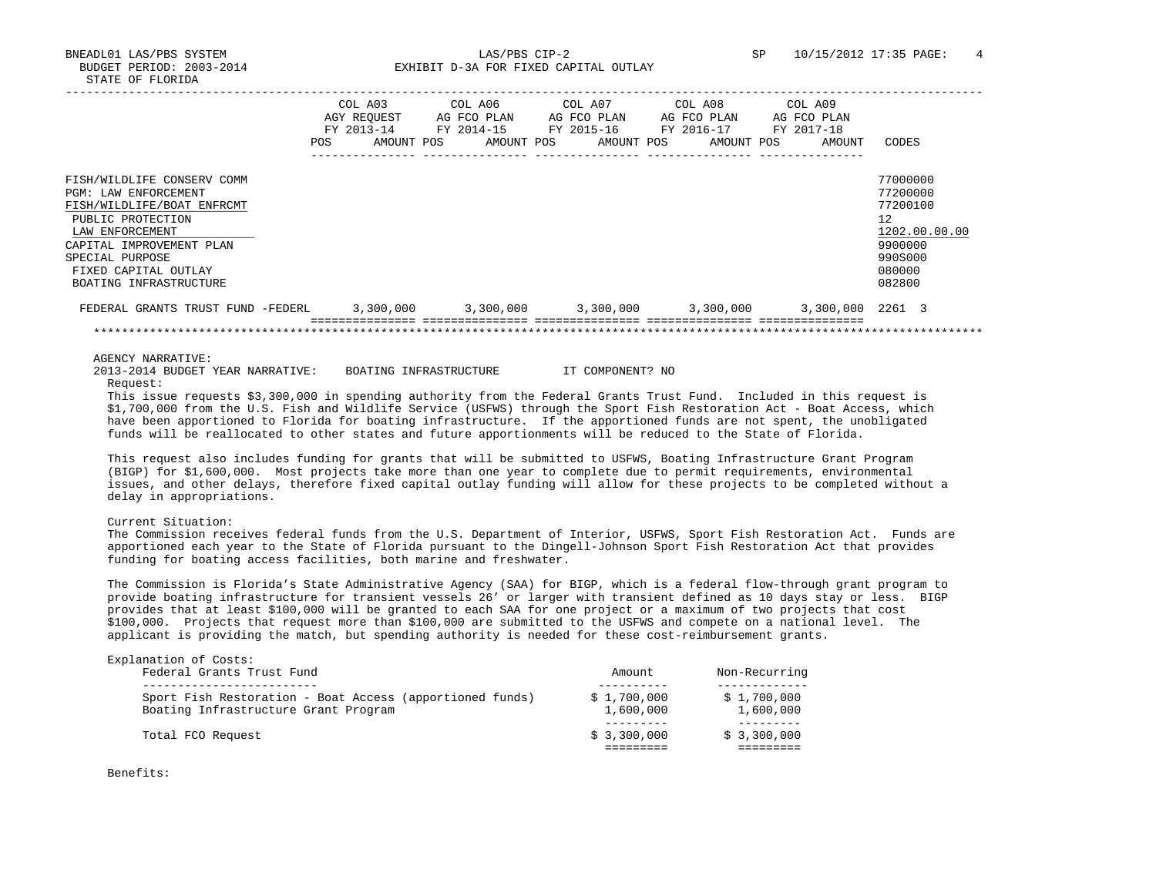BNEADL01 LAS/PBS SYSTEM LAS/PBS CIP-2 SP 10/15/2012 17:35 PAGE: 4 BUDGET PERIOD: 2003-2014 **EXHIBIT D-3A FOR FIXED CAPITAL OUTLAY** 

|                                                                                                                                                                                                                           | <b>POS</b> | COL A03<br>AGY REOUEST<br>FY 2013-14<br>AMOUNT POS | COL A06<br>AG FCO PLAN<br>FY 2014-15<br>AMOUNT POS | COL A07<br>AG FCO PLAN<br>FY 2015-16<br>AMOUNT POS | COL A08<br>AG FCO PLAN<br>FY 2016-17<br>AMOUNT POS | COL A09<br>AG FCO PLAN<br>FY 2017-18<br>AMOUNT | CODES                                                                                             |
|---------------------------------------------------------------------------------------------------------------------------------------------------------------------------------------------------------------------------|------------|----------------------------------------------------|----------------------------------------------------|----------------------------------------------------|----------------------------------------------------|------------------------------------------------|---------------------------------------------------------------------------------------------------|
| FISH/WILDLIFE CONSERV COMM<br>PGM: LAW ENFORCEMENT<br>FISH/WILDLIFE/BOAT ENFRCMT<br>PUBLIC PROTECTION<br>LAW ENFORCEMENT<br>CAPITAL IMPROVEMENT PLAN<br>SPECIAL PURPOSE<br>FIXED CAPITAL OUTLAY<br>BOATING INFRASTRUCTURE |            |                                                    |                                                    |                                                    |                                                    |                                                | 77000000<br>77200000<br>77200100<br>12<br>1202.00.00.00<br>9900000<br>990S000<br>080000<br>082800 |
| FEDERAL GRANTS TRUST FUND -FEDERL                                                                                                                                                                                         |            | 3,300,000                                          | 3,300,000                                          |                                                    | 3,300,000 3,300,000                                | 3,300,000 2261 3                               |                                                                                                   |
|                                                                                                                                                                                                                           |            |                                                    |                                                    |                                                    |                                                    |                                                |                                                                                                   |

AGENCY NARRATIVE:

 2013-2014 BUDGET YEAR NARRATIVE: BOATING INFRASTRUCTURE IT COMPONENT? NO Request:

 This issue requests \$3,300,000 in spending authority from the Federal Grants Trust Fund. Included in this request is \$1,700,000 from the U.S. Fish and Wildlife Service (USFWS) through the Sport Fish Restoration Act - Boat Access, which have been apportioned to Florida for boating infrastructure. If the apportioned funds are not spent, the unobligated funds will be reallocated to other states and future apportionments will be reduced to the State of Florida.

 This request also includes funding for grants that will be submitted to USFWS, Boating Infrastructure Grant Program (BIGP) for \$1,600,000. Most projects take more than one year to complete due to permit requirements, environmental issues, and other delays, therefore fixed capital outlay funding will allow for these projects to be completed without a delay in appropriations.

Current Situation:

 The Commission receives federal funds from the U.S. Department of Interior, USFWS, Sport Fish Restoration Act. Funds are apportioned each year to the State of Florida pursuant to the Dingell-Johnson Sport Fish Restoration Act that provides funding for boating access facilities, both marine and freshwater.

 The Commission is Florida's State Administrative Agency (SAA) for BIGP, which is a federal flow-through grant program to provide boating infrastructure for transient vessels 26' or larger with transient defined as 10 days stay or less. BIGP provides that at least \$100,000 will be granted to each SAA for one project or a maximum of two projects that cost \$100,000. Projects that request more than \$100,000 are submitted to the USFWS and compete on a national level. The applicant is providing the match, but spending authority is needed for these cost-reimbursement grants.

| Explanation of Costs:<br>Federal Grants Trust Fund                                               | Amount                   | Non-Recurring            |
|--------------------------------------------------------------------------------------------------|--------------------------|--------------------------|
| Sport Fish Restoration - Boat Access (apportioned funds)<br>Boating Infrastructure Grant Program | \$1,700,000<br>1,600,000 | \$1,700,000<br>1,600,000 |
| Total FCO Request                                                                                | \$3,300,000              | \$3,300,000              |

Benefits: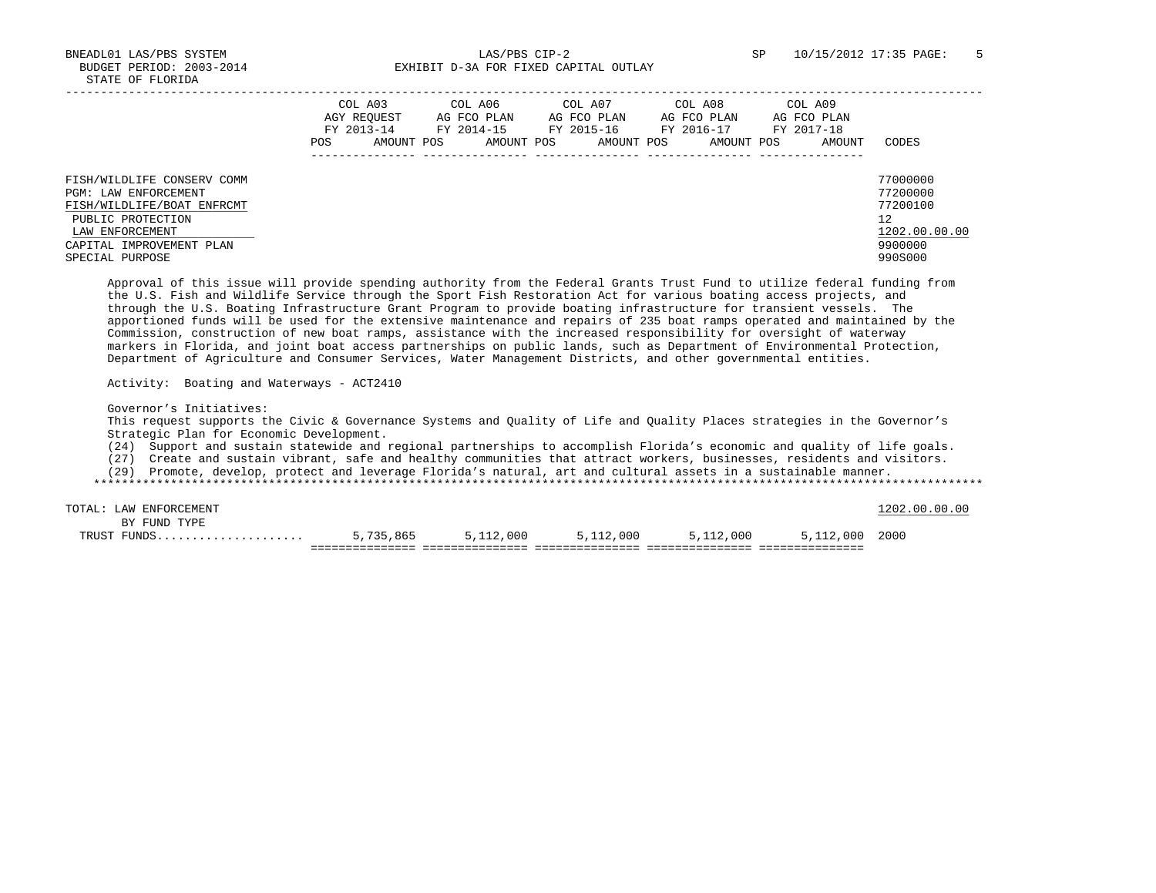|                                                                                                                          | COL A03<br>AGY REOUEST<br>FY 2013-14<br><b>POS</b><br>AMOUNT POS | COL A06<br>AG FCO PLAN<br>FY 2014-15<br>AMOUNT POS | COL A07<br>AG FCO PLAN<br>FY 2015-16<br>AMOUNT POS | COL A08<br>AG FCO PLAN<br>FY 2016-17<br>AMOUNT POS | COL A09<br>AG FCO PLAN<br>FY 2017-18<br>AMOUNT | CODES                                                   |
|--------------------------------------------------------------------------------------------------------------------------|------------------------------------------------------------------|----------------------------------------------------|----------------------------------------------------|----------------------------------------------------|------------------------------------------------|---------------------------------------------------------|
| FISH/WILDLIFE CONSERV COMM<br>PGM: LAW ENFORCEMENT<br>FISH/WILDLIFE/BOAT ENFRCMT<br>PUBLIC PROTECTION<br>LAW ENFORCEMENT |                                                                  |                                                    |                                                    |                                                    |                                                | 77000000<br>77200000<br>77200100<br>12<br>1202.00.00.00 |
| CAPITAL IMPROVEMENT PLAN<br>SPECIAL PURPOSE                                                                              |                                                                  |                                                    |                                                    |                                                    |                                                | 9900000<br>990S000                                      |

 Approval of this issue will provide spending authority from the Federal Grants Trust Fund to utilize federal funding from the U.S. Fish and Wildlife Service through the Sport Fish Restoration Act for various boating access projects, and through the U.S. Boating Infrastructure Grant Program to provide boating infrastructure for transient vessels. The apportioned funds will be used for the extensive maintenance and repairs of 235 boat ramps operated and maintained by the Commission, construction of new boat ramps, assistance with the increased responsibility for oversight of waterway markers in Florida, and joint boat access partnerships on public lands, such as Department of Environmental Protection, Department of Agriculture and Consumer Services, Water Management Districts, and other governmental entities.

Activity: Boating and Waterways - ACT2410

Governor's Initiatives:

 This request supports the Civic & Governance Systems and Quality of Life and Quality Places strategies in the Governor's Strategic Plan for Economic Development.

(24) Support and sustain statewide and regional partnerships to accomplish Florida's economic and quality of life goals.

(27) Create and sustain vibrant, safe and healthy communities that attract workers, businesses, residents and visitors.

(29) Promote, develop, protect and leverage Florida's natural, art and cultural assets in a sustainable manner.

\*\*\*\*\*\*\*\*\*\*\*\*\*\*\*\*\*\*\*\*\*\*\*\*\*\*\*\*\*\*\*\*\*\*\*\*\*\*\*\*\*\*\*\*\*\*\*\*\*\*\*\*\*\*\*\*\*\*\*\*\*\*\*\*\*\*\*\*\*\*\*\*\*\*\*\*\*\*\*\*\*\*\*\*\*\*\*\*\*\*\*\*\*\*\*\*\*\*\*\*\*\*\*\*\*\*\*\*\*\*\*\*\*\*\*\*\*\*\*\*\*\*\*\*\*\*\*

TOTAL: LAW ENFORCEMENT 1202.00.00 CONTROLLEDGE 200.00 CONTROLLEDGE 200.00 CONTROLLEDGE 200.00 CONTROLLEDGE 200 BY FUND TYPE TRUST FUNDS..................... 5,735,865 5,112,000 5,112,000 5,112,000 5,112,000 2000 =============== =============== =============== =============== ===============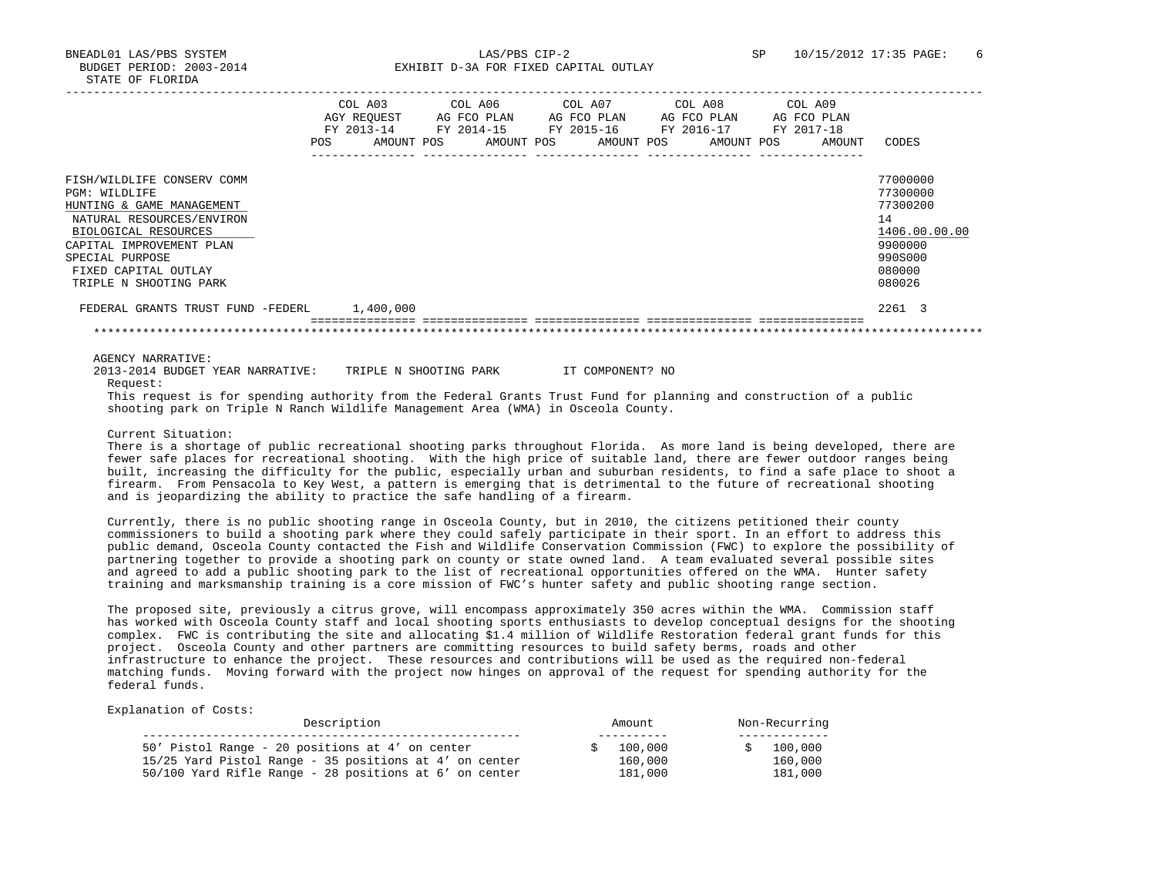BNEADL01 LAS/PBS SYSTEM LAS/PBS CIP-2 SP 10/15/2012 17:35 PAGE: 6 BUDGET PERIOD: 2003-2014 **EXHIBIT D-3A FOR FIXED CAPITAL OUTLAY** 

|                                                                                                                                                                                                                                | <b>POS</b> | COL A03<br>AGY REOUEST<br>FY 2013-14<br>AMOUNT POS | COL A06<br>AG FCO PLAN<br>FY 2014-15<br>AMOUNT POS | COL A07 | AG FCO PLAN<br>FY 2015-16<br>AMOUNT POS |  | COL A08<br>AG FCO PLAN<br>FY 2016-17<br>AMOUNT POS | COL A09<br>AG FCO PLAN<br>FY 2017-18 | AMOUNT | CODES                                                                                             |
|--------------------------------------------------------------------------------------------------------------------------------------------------------------------------------------------------------------------------------|------------|----------------------------------------------------|----------------------------------------------------|---------|-----------------------------------------|--|----------------------------------------------------|--------------------------------------|--------|---------------------------------------------------------------------------------------------------|
| FISH/WILDLIFE CONSERV COMM<br>PGM: WILDLIFE<br>HUNTING & GAME MANAGEMENT<br>NATURAL RESOURCES/ENVIRON<br>BIOLOGICAL RESOURCES<br>CAPITAL IMPROVEMENT PLAN<br>SPECIAL PURPOSE<br>FIXED CAPITAL OUTLAY<br>TRIPLE N SHOOTING PARK |            |                                                    |                                                    |         |                                         |  |                                                    |                                      |        | 77000000<br>77300000<br>77300200<br>14<br>1406.00.00.00<br>9900000<br>990S000<br>080000<br>080026 |
| FEDERAL GRANTS TRUST FUND -FEDERL                                                                                                                                                                                              |            | 1,400,000                                          |                                                    |         |                                         |  |                                                    |                                      |        | 2261 3                                                                                            |
|                                                                                                                                                                                                                                |            |                                                    |                                                    |         |                                         |  |                                                    |                                      |        |                                                                                                   |

AGENCY NARRATIVE:

2013-2014 BUDGET YEAR NARRATIVE: TRIPLE N SHOOTING PARK IT COMPONENT? NO Request:

 This request is for spending authority from the Federal Grants Trust Fund for planning and construction of a public shooting park on Triple N Ranch Wildlife Management Area (WMA) in Osceola County.

Current Situation:

 There is a shortage of public recreational shooting parks throughout Florida. As more land is being developed, there are fewer safe places for recreational shooting. With the high price of suitable land, there are fewer outdoor ranges being built, increasing the difficulty for the public, especially urban and suburban residents, to find a safe place to shoot a firearm. From Pensacola to Key West, a pattern is emerging that is detrimental to the future of recreational shooting and is jeopardizing the ability to practice the safe handling of a firearm.

 Currently, there is no public shooting range in Osceola County, but in 2010, the citizens petitioned their county commissioners to build a shooting park where they could safely participate in their sport. In an effort to address this public demand, Osceola County contacted the Fish and Wildlife Conservation Commission (FWC) to explore the possibility of partnering together to provide a shooting park on county or state owned land. A team evaluated several possible sites and agreed to add a public shooting park to the list of recreational opportunities offered on the WMA. Hunter safety training and marksmanship training is a core mission of FWC's hunter safety and public shooting range section.

 The proposed site, previously a citrus grove, will encompass approximately 350 acres within the WMA. Commission staff has worked with Osceola County staff and local shooting sports enthusiasts to develop conceptual designs for the shooting complex. FWC is contributing the site and allocating \$1.4 million of Wildlife Restoration federal grant funds for this project. Osceola County and other partners are committing resources to build safety berms, roads and other infrastructure to enhance the project. These resources and contributions will be used as the required non-federal matching funds. Moving forward with the project now hinges on approval of the request for spending authority for the federal funds.

| Description                                                                                               | Amount               | Non-Recurring      |  |  |
|-----------------------------------------------------------------------------------------------------------|----------------------|--------------------|--|--|
| 50' Pistol Range - 20 positions at 4' on center<br>15/25 Yard Pistol Range - 35 positions at 4' on center | \$100.000<br>160,000 | 100,000<br>160,000 |  |  |
| 50/100 Yard Rifle Range - 28 positions at 6' on center                                                    | 181,000              | 181,000            |  |  |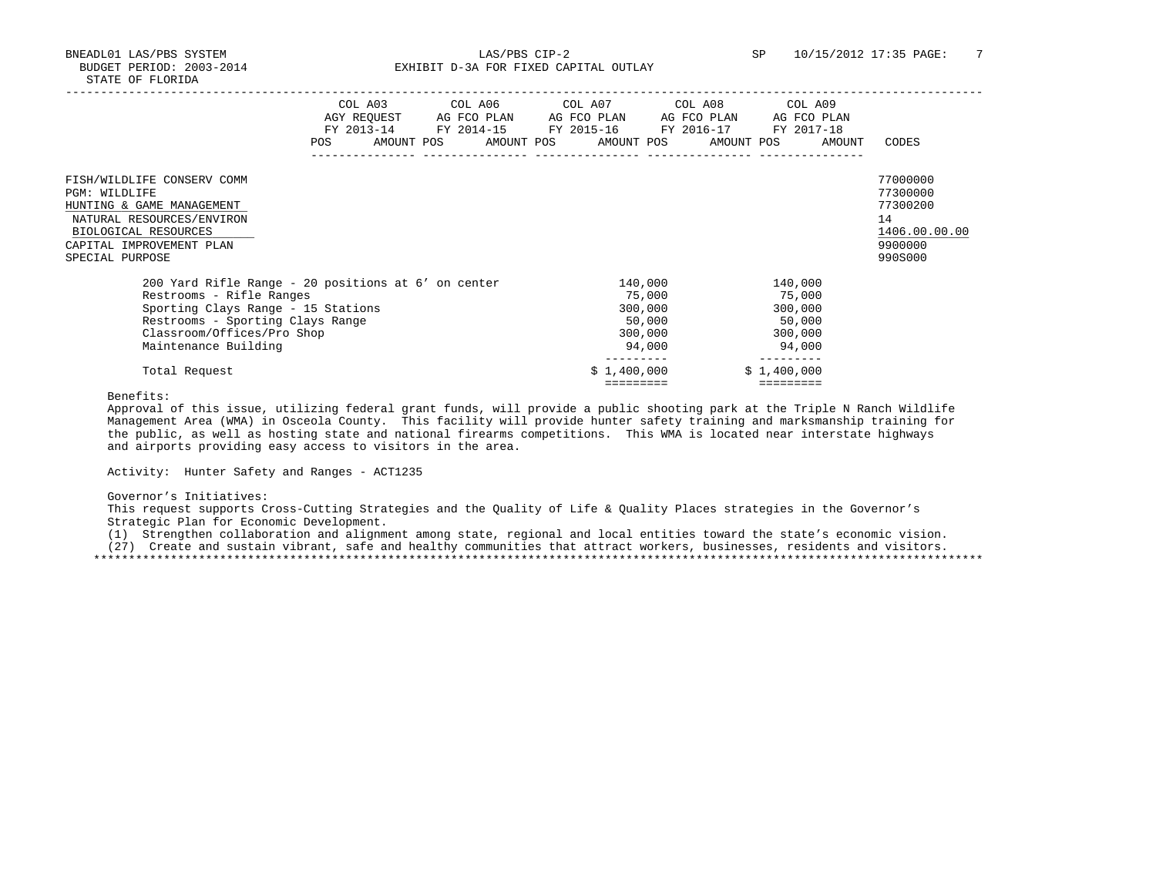BNEADL01 LAS/PBS SYSTEM LAS/PBS CIP-2 SP 10/15/2012 17:35 PAGE: 7 BUDGET PERIOD: 2003-2014 **EXHIBIT D-3A FOR FIXED CAPITAL OUTLAY** 

|                                                                                                                                                                                                                 | COL A03<br>POS | COL A06<br>FY 2013-14 FY 2014-15<br>AMOUNT POS AMOUNT POS | COL A07<br>AGY REQUEST AG FCO PLAN AG FCO PLAN AG FCO PLAN AG FCO PLAN<br>FY 2015-16 FY 2016-17<br>AMOUNT POS | COL A08<br>AMOUNT POS | COL A09<br>FY 2017-18<br>AMOUNT                             | CODES                                                                         |
|-----------------------------------------------------------------------------------------------------------------------------------------------------------------------------------------------------------------|----------------|-----------------------------------------------------------|---------------------------------------------------------------------------------------------------------------|-----------------------|-------------------------------------------------------------|-------------------------------------------------------------------------------|
| FISH/WILDLIFE CONSERV COMM<br>PGM: WILDLIFE<br>HUNTING & GAME MANAGEMENT<br>NATURAL RESOURCES/ENVIRON<br>BIOLOGICAL RESOURCES<br>CAPITAL IMPROVEMENT PLAN<br>SPECIAL PURPOSE                                    |                |                                                           |                                                                                                               |                       |                                                             | 77000000<br>77300000<br>77300200<br>14<br>1406.00.00.00<br>9900000<br>990S000 |
| 200 Yard Rifle Range - 20 positions at 6' on center<br>Restrooms - Rifle Ranges<br>Sporting Clays Range - 15 Stations<br>Restrooms - Sporting Clays Range<br>Classroom/Offices/Pro Shop<br>Maintenance Building |                |                                                           | 140,000<br>75,000<br>300,000<br>50,000<br>300,000<br>94,000                                                   |                       | 140,000<br>75,000<br>300,000<br>50,000<br>300,000<br>94,000 |                                                                               |
| Total Request                                                                                                                                                                                                   |                |                                                           | \$1,400,000<br>=========                                                                                      |                       | \$1,400,000<br>=========                                    |                                                                               |

Benefits:

 Approval of this issue, utilizing federal grant funds, will provide a public shooting park at the Triple N Ranch Wildlife Management Area (WMA) in Osceola County. This facility will provide hunter safety training and marksmanship training for the public, as well as hosting state and national firearms competitions. This WMA is located near interstate highways and airports providing easy access to visitors in the area.

Activity: Hunter Safety and Ranges - ACT1235

Governor's Initiatives:

 This request supports Cross-Cutting Strategies and the Quality of Life & Quality Places strategies in the Governor's Strategic Plan for Economic Development.

 (1) Strengthen collaboration and alignment among state, regional and local entities toward the state's economic vision. (27) Create and sustain vibrant, safe and healthy communities that attract workers, businesses, residents and visitors. \*\*\*\*\*\*\*\*\*\*\*\*\*\*\*\*\*\*\*\*\*\*\*\*\*\*\*\*\*\*\*\*\*\*\*\*\*\*\*\*\*\*\*\*\*\*\*\*\*\*\*\*\*\*\*\*\*\*\*\*\*\*\*\*\*\*\*\*\*\*\*\*\*\*\*\*\*\*\*\*\*\*\*\*\*\*\*\*\*\*\*\*\*\*\*\*\*\*\*\*\*\*\*\*\*\*\*\*\*\*\*\*\*\*\*\*\*\*\*\*\*\*\*\*\*\*\*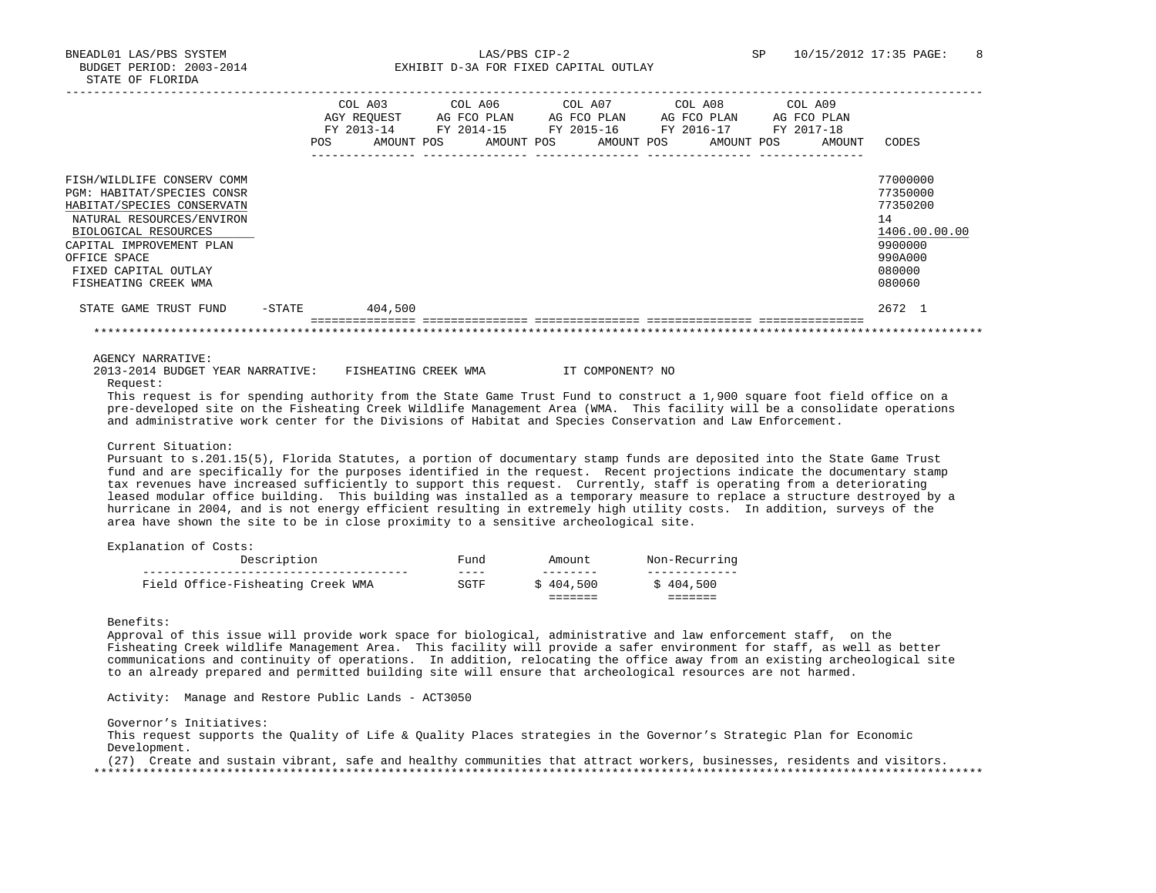BNEADL01 LAS/PBS SYSTEM LAS/PBS CIP-2 SP 10/15/2012 17:35 PAGE: 8 BUDGET PERIOD: 2003-2014 **EXHIBIT D-3A FOR FIXED CAPITAL OUTLAY** 

|                                                                                                                                                                                                                                         |        | COL A03<br>AGY REOUEST<br>FY 2013-14<br>POS | AMOUNT POS |  | COL A06<br>FY 2014-15 | AG FCO PLAN<br>AMOUNT POS |  |  | COL A07<br>AG FCO PLAN<br>FY 2015-16 FY 2016-17<br>AMOUNT POS AMOUNT POS | COL A08 | AG FCO PLAN | COL A09<br>AG FCO PLAN<br>FY 2017-18 | AMOUNT | CODES                                                                                             |
|-----------------------------------------------------------------------------------------------------------------------------------------------------------------------------------------------------------------------------------------|--------|---------------------------------------------|------------|--|-----------------------|---------------------------|--|--|--------------------------------------------------------------------------|---------|-------------|--------------------------------------|--------|---------------------------------------------------------------------------------------------------|
| FISH/WILDLIFE CONSERV COMM<br>PGM: HABITAT/SPECIES CONSR<br>HABITAT/SPECIES CONSERVATN<br>NATURAL RESOURCES/ENVIRON<br>BIOLOGICAL RESOURCES<br>CAPITAL IMPROVEMENT PLAN<br>OFFICE SPACE<br>FIXED CAPITAL OUTLAY<br>FISHEATING CREEK WMA |        |                                             |            |  |                       |                           |  |  |                                                                          |         |             |                                      |        | 77000000<br>77350000<br>77350200<br>14<br>1406.00.00.00<br>9900000<br>990A000<br>080000<br>080060 |
| STATE GAME TRUST FUND                                                                                                                                                                                                                   | -STATE |                                             | 404,500    |  |                       |                           |  |  |                                                                          |         |             |                                      |        | 2672 1                                                                                            |
|                                                                                                                                                                                                                                         |        |                                             |            |  |                       |                           |  |  |                                                                          |         |             |                                      |        |                                                                                                   |

AGENCY NARRATIVE:

 2013-2014 BUDGET YEAR NARRATIVE: FISHEATING CREEK WMA IT COMPONENT? NO Request:

 This request is for spending authority from the State Game Trust Fund to construct a 1,900 square foot field office on a pre-developed site on the Fisheating Creek Wildlife Management Area (WMA. This facility will be a consolidate operations and administrative work center for the Divisions of Habitat and Species Conservation and Law Enforcement.

## Current Situation:

 Pursuant to s.201.15(5), Florida Statutes, a portion of documentary stamp funds are deposited into the State Game Trust fund and are specifically for the purposes identified in the request. Recent projections indicate the documentary stamp tax revenues have increased sufficiently to support this request. Currently, staff is operating from a deteriorating leased modular office building. This building was installed as a temporary measure to replace a structure destroyed by a hurricane in 2004, and is not energy efficient resulting in extremely high utility costs. In addition, surveys of the area have shown the site to be in close proximity to a sensitive archeological site.

| Explanation of Costs: |  |  |
|-----------------------|--|--|
|-----------------------|--|--|

| Field Office-Fisheating Creek WMA | SGTF   | 404,500 | 404,500       |
|-----------------------------------|--------|---------|---------------|
|                                   | ----   |         |               |
| Description                       | पund । |         | Non-Recurring |

Benefits:

 Approval of this issue will provide work space for biological, administrative and law enforcement staff, on the Fisheating Creek wildlife Management Area. This facility will provide a safer environment for staff, as well as better communications and continuity of operations. In addition, relocating the office away from an existing archeological site to an already prepared and permitted building site will ensure that archeological resources are not harmed.

Activity: Manage and Restore Public Lands - ACT3050

Governor's Initiatives:

 This request supports the Quality of Life & Quality Places strategies in the Governor's Strategic Plan for Economic Development.

 (27) Create and sustain vibrant, safe and healthy communities that attract workers, businesses, residents and visitors. \*\*\*\*\*\*\*\*\*\*\*\*\*\*\*\*\*\*\*\*\*\*\*\*\*\*\*\*\*\*\*\*\*\*\*\*\*\*\*\*\*\*\*\*\*\*\*\*\*\*\*\*\*\*\*\*\*\*\*\*\*\*\*\*\*\*\*\*\*\*\*\*\*\*\*\*\*\*\*\*\*\*\*\*\*\*\*\*\*\*\*\*\*\*\*\*\*\*\*\*\*\*\*\*\*\*\*\*\*\*\*\*\*\*\*\*\*\*\*\*\*\*\*\*\*\*\*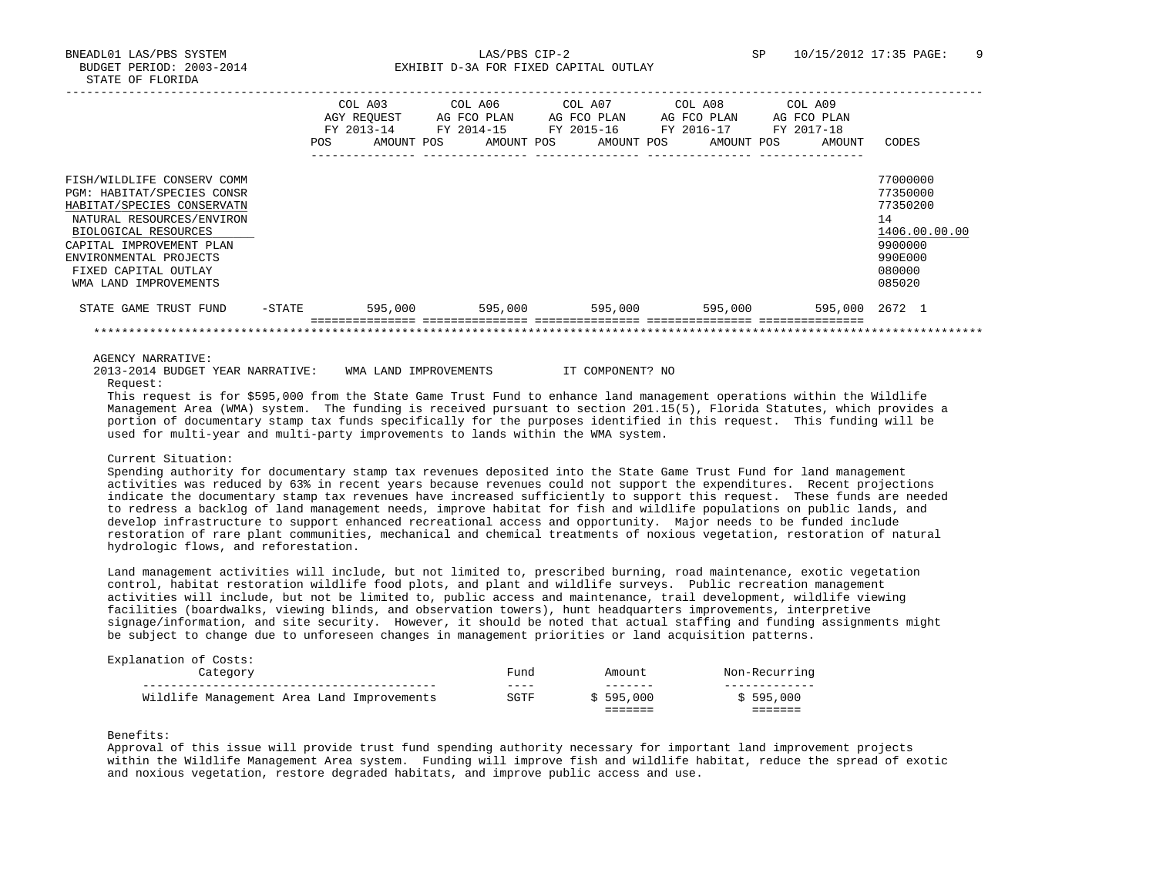|                                                                                                                                                                                                                                                    |           | COL A03<br>AGY REOUEST<br>FY 2013-14<br><b>POS</b> | AG FCO PLAN<br>FY 2014-15<br>AMOUNT POS<br>AMOUNT POS | COL A06 COL A07<br>AG FCO PLAN<br>FY 2015-16<br>AMOUNT POS | COL A08<br>AG FCO PLAN<br>FY 2016-17<br>AMOUNT POS | COL A09<br>AG FCO PLAN<br>FY 2017-18<br>AMOUNT | CODES                                                                                             |
|----------------------------------------------------------------------------------------------------------------------------------------------------------------------------------------------------------------------------------------------------|-----------|----------------------------------------------------|-------------------------------------------------------|------------------------------------------------------------|----------------------------------------------------|------------------------------------------------|---------------------------------------------------------------------------------------------------|
| FISH/WILDLIFE CONSERV COMM<br>PGM: HABITAT/SPECIES CONSR<br>HABITAT/SPECIES CONSERVATN<br>NATURAL RESOURCES/ENVIRON<br>BIOLOGICAL RESOURCES<br>CAPITAL IMPROVEMENT PLAN<br>ENVIRONMENTAL PROJECTS<br>FIXED CAPITAL OUTLAY<br>WMA LAND IMPROVEMENTS |           |                                                    |                                                       |                                                            |                                                    |                                                | 77000000<br>77350000<br>77350200<br>14<br>1406.00.00.00<br>9900000<br>990E000<br>080000<br>085020 |
| STATE GAME TRUST FUND                                                                                                                                                                                                                              | $-$ STATE | 595,000                                            |                                                       | 595,000<br>595,000                                         | 595,000                                            | 595,000 2672 1                                 |                                                                                                   |
|                                                                                                                                                                                                                                                    |           |                                                    |                                                       |                                                            |                                                    |                                                |                                                                                                   |

AGENCY NARRATIVE:

 2013-2014 BUDGET YEAR NARRATIVE: WMA LAND IMPROVEMENTS IT COMPONENT? NO Request:

 This request is for \$595,000 from the State Game Trust Fund to enhance land management operations within the Wildlife Management Area (WMA) system. The funding is received pursuant to section 201.15(5), Florida Statutes, which provides a portion of documentary stamp tax funds specifically for the purposes identified in this request. This funding will be used for multi-year and multi-party improvements to lands within the WMA system.

# Current Situation:

 Spending authority for documentary stamp tax revenues deposited into the State Game Trust Fund for land management activities was reduced by 63% in recent years because revenues could not support the expenditures. Recent projections indicate the documentary stamp tax revenues have increased sufficiently to support this request. These funds are needed to redress a backlog of land management needs, improve habitat for fish and wildlife populations on public lands, and develop infrastructure to support enhanced recreational access and opportunity. Major needs to be funded include restoration of rare plant communities, mechanical and chemical treatments of noxious vegetation, restoration of natural hydrologic flows, and reforestation.

 Land management activities will include, but not limited to, prescribed burning, road maintenance, exotic vegetation control, habitat restoration wildlife food plots, and plant and wildlife surveys. Public recreation management activities will include, but not be limited to, public access and maintenance, trail development, wildlife viewing facilities (boardwalks, viewing blinds, and observation towers), hunt headquarters improvements, interpretive signage/information, and site security. However, it should be noted that actual staffing and funding assignments might be subject to change due to unforeseen changes in management priorities or land acquisition patterns.

| Explanation of Costs:                      |      |           |               |
|--------------------------------------------|------|-----------|---------------|
| Category                                   | Fund | Amount.   | Non-Recurring |
|                                            | ---- | -------   |               |
| Wildlife Management Area Land Improvements | SGTF | \$595.000 | \$595.000     |
|                                            |      |           |               |

# Benefits:

 Approval of this issue will provide trust fund spending authority necessary for important land improvement projects within the Wildlife Management Area system. Funding will improve fish and wildlife habitat, reduce the spread of exotic and noxious vegetation, restore degraded habitats, and improve public access and use.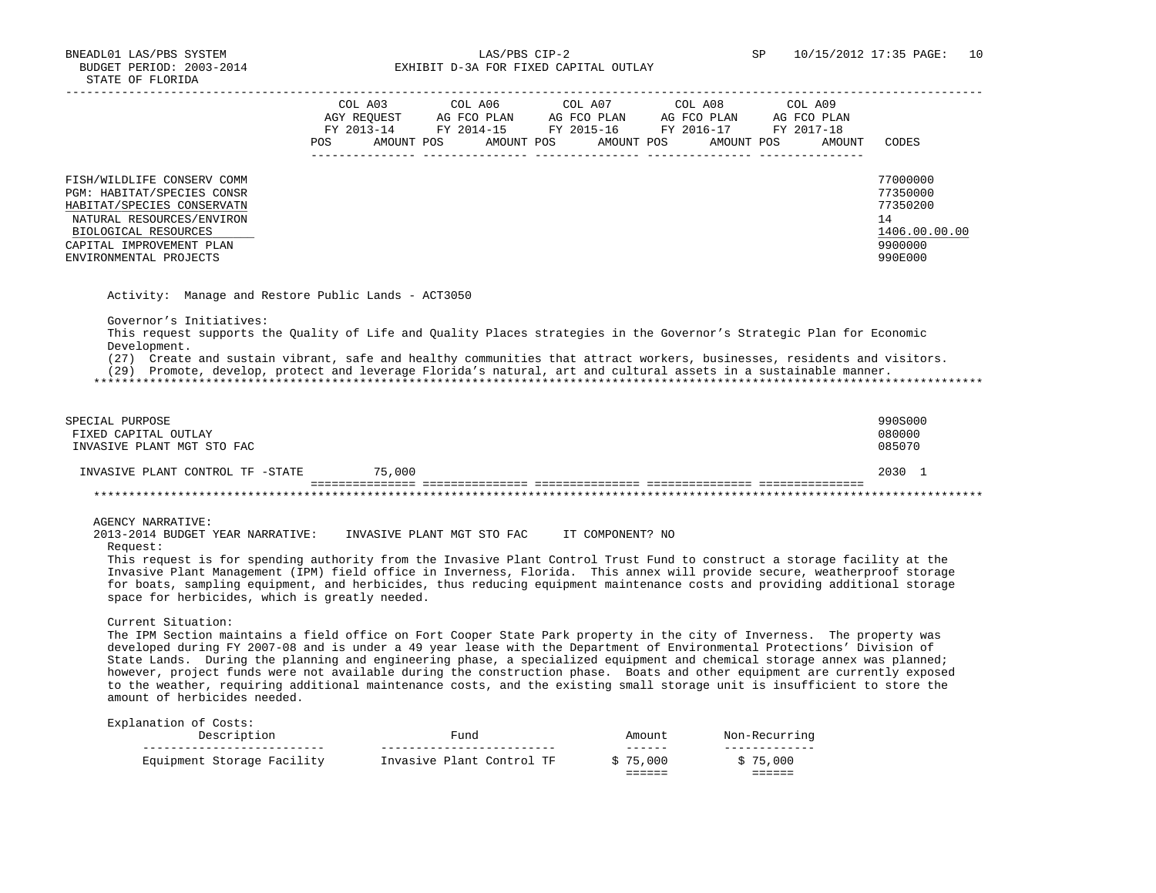BNEADL01 LAS/PBS SYSTEM LAS/PBS CIP-2 SP 10/15/2012 17:35 PAGE: 10 BUDGET PERIOD: 2003-2014 **EXHIBIT D-3A FOR FIXED CAPITAL OUTLAY** 

|                                                                                                                                                                                                   | COL A03<br>AGY REOUEST<br>FY 2013-14<br><b>POS</b> | AMOUNT POS | COL A06<br>AG FCO PLAN<br>FY 2014-15 | AMOUNT POS | COL A07<br>AG FCO PLAN<br>FY 2015-16<br>AMOUNT POS | COL A08<br>AG FCO PLAN<br>FY 2016-17<br>AMOUNT POS | COL A09<br>AG FCO PLAN<br>FY 2017-18<br>AMOUNT | CODES                                                                         |
|---------------------------------------------------------------------------------------------------------------------------------------------------------------------------------------------------|----------------------------------------------------|------------|--------------------------------------|------------|----------------------------------------------------|----------------------------------------------------|------------------------------------------------|-------------------------------------------------------------------------------|
| FISH/WILDLIFE CONSERV COMM<br>PGM: HABITAT/SPECIES CONSR<br>HABITAT/SPECIES CONSERVATN<br>NATURAL RESOURCES/ENVIRON<br>BIOLOGICAL RESOURCES<br>CAPITAL IMPROVEMENT PLAN<br>ENVIRONMENTAL PROJECTS |                                                    |            |                                      |            |                                                    |                                                    |                                                | 77000000<br>77350000<br>77350200<br>14<br>1406.00.00.00<br>9900000<br>990E000 |

Activity: Manage and Restore Public Lands - ACT3050

Governor's Initiatives:

 This request supports the Quality of Life and Quality Places strategies in the Governor's Strategic Plan for Economic Development.

(27) Create and sustain vibrant, safe and healthy communities that attract workers, businesses, residents and visitors.

(29) Promote, develop, protect and leverage Florida's natural, art and cultural assets in a sustainable manner.

\*\*\*\*\*\*\*\*\*\*\*\*\*\*\*\*\*\*\*\*\*\*\*\*\*\*\*\*\*\*\*\*\*\*\*\*\*\*\*\*\*\*\*\*\*\*\*\*\*\*\*\*\*\*\*\*\*\*\*\*\*\*\*\*\*\*\*\*\*\*\*\*\*\*\*\*\*\*\*\*\*\*\*\*\*\*\*\*\*\*\*\*\*\*\*\*\*\*\*\*\*\*\*\*\*\*\*\*\*\*\*\*\*\*\*\*\*\*\*\*\*\*\*\*\*\*\*

| SPECIAL PURPOSE<br>FIXED CAPITAL OUTLAY<br>INVASIVE PLANT MGT STO FAC |        | 990S000<br>080000<br>085070 |  |
|-----------------------------------------------------------------------|--------|-----------------------------|--|
| INVASIVE PLANT CONTROL TF -STATE                                      | 75,000 | 2030                        |  |
|                                                                       |        |                             |  |

# AGENCY NARRATIVE:

 2013-2014 BUDGET YEAR NARRATIVE: INVASIVE PLANT MGT STO FAC IT COMPONENT? NO Request:

 This request is for spending authority from the Invasive Plant Control Trust Fund to construct a storage facility at the Invasive Plant Management (IPM) field office in Inverness, Florida. This annex will provide secure, weatherproof storage for boats, sampling equipment, and herbicides, thus reducing equipment maintenance costs and providing additional storage space for herbicides, which is greatly needed.

Current Situation:

 The IPM Section maintains a field office on Fort Cooper State Park property in the city of Inverness. The property was developed during FY 2007-08 and is under a 49 year lease with the Department of Environmental Protections' Division of State Lands. During the planning and engineering phase, a specialized equipment and chemical storage annex was planned; however, project funds were not available during the construction phase. Boats and other equipment are currently exposed to the weather, requiring additional maintenance costs, and the existing small storage unit is insufficient to store the amount of herbicides needed.

| Description                | "und                      | Amount                                 | Non-Recurring      |
|----------------------------|---------------------------|----------------------------------------|--------------------|
| Equipment Storage Facility | Invasive Plant Control TF | ------<br>\$75,000<br>______<br>------ | \$75,000<br>------ |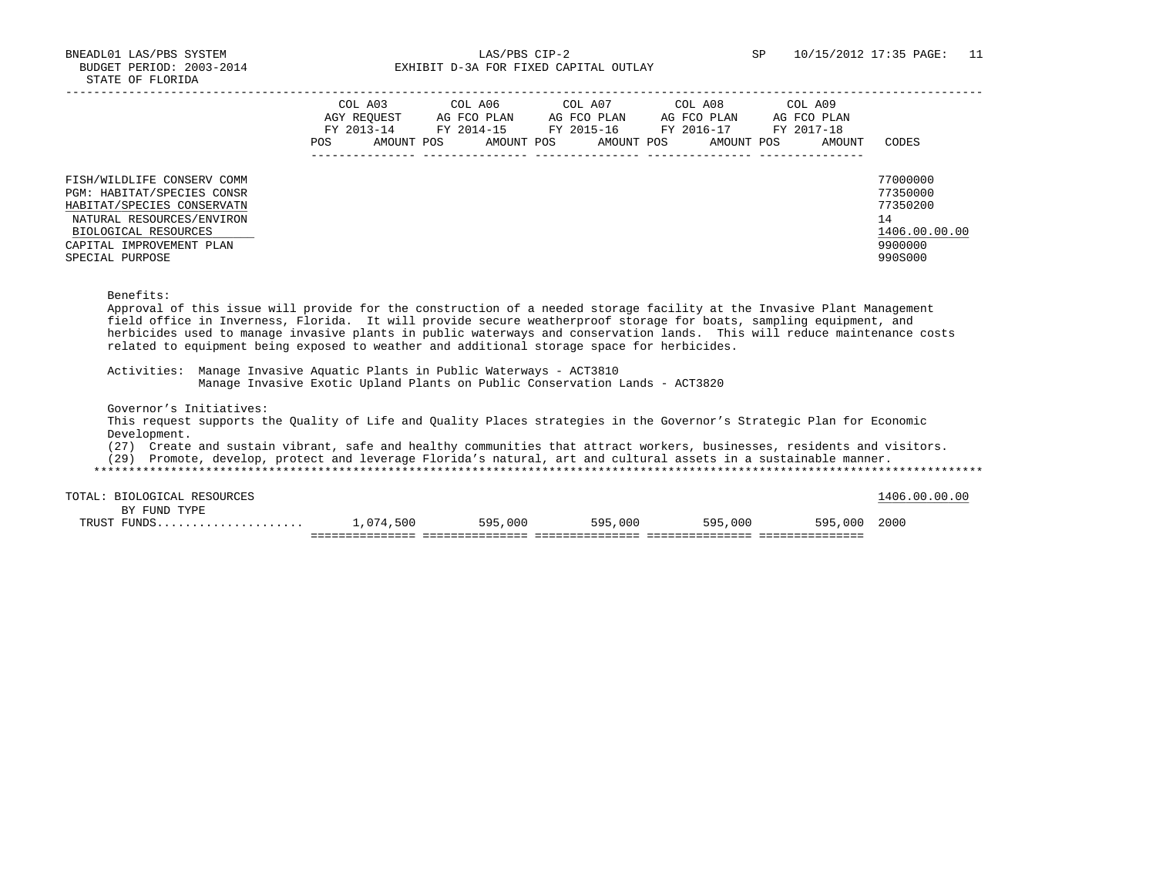BNEADL01 LAS/PBS SYSTEM LAS/PBS CIP-2 SP 10/15/2012 17:35 PAGE: 11 BUDGET PERIOD: 2003-2014 **EXHIBIT D-3A FOR FIXED CAPITAL OUTLAY** 

|                                                                                                                                                                                            | COL A03<br>AGY REOUEST<br>FY 2013-14<br>POS | COL A06<br>AG FCO PLAN<br>FY 2014-15<br>AMOUNT POS | COL A07<br>AG FCO PLAN<br>FY 2015-16<br>AMOUNT POS<br>AMOUNT POS | COL A08<br>AG FCO PLAN<br>FY 2016-17<br>AMOUNT POS | COL A09<br>AG FCO PLAN<br>FY 2017-18<br>AMOUNT | CODES                                                                         |
|--------------------------------------------------------------------------------------------------------------------------------------------------------------------------------------------|---------------------------------------------|----------------------------------------------------|------------------------------------------------------------------|----------------------------------------------------|------------------------------------------------|-------------------------------------------------------------------------------|
| FISH/WILDLIFE CONSERV COMM<br>PGM: HABITAT/SPECIES CONSR<br>HABITAT/SPECIES CONSERVATN<br>NATURAL RESOURCES/ENVIRON<br>BIOLOGICAL RESOURCES<br>CAPITAL IMPROVEMENT PLAN<br>SPECIAL PURPOSE |                                             |                                                    |                                                                  |                                                    |                                                | 77000000<br>77350000<br>77350200<br>14<br>1406.00.00.00<br>9900000<br>990S000 |

Benefits:

 Approval of this issue will provide for the construction of a needed storage facility at the Invasive Plant Management field office in Inverness, Florida. It will provide secure weatherproof storage for boats, sampling equipment, and herbicides used to manage invasive plants in public waterways and conservation lands. This will reduce maintenance costs related to equipment being exposed to weather and additional storage space for herbicides.

 Activities: Manage Invasive Aquatic Plants in Public Waterways - ACT3810 Manage Invasive Exotic Upland Plants on Public Conservation Lands - ACT3820

Governor's Initiatives:

 This request supports the Quality of Life and Quality Places strategies in the Governor's Strategic Plan for Economic Development.

(27) Create and sustain vibrant, safe and healthy communities that attract workers, businesses, residents and visitors.

(29) Promote, develop, protect and leverage Florida's natural, art and cultural assets in a sustainable manner.

| TRUST | PUNDS                   | ,074,500 | 595,000 | 595,000 | 595,000 | 595,000 | 2000          |
|-------|-------------------------|----------|---------|---------|---------|---------|---------------|
|       | TYPE<br>FUND<br>RV      |          |         |         |         |         |               |
| TOTAL | RESOURCES<br>BIOLOGICAL |          |         |         |         |         | 1406.00.00.00 |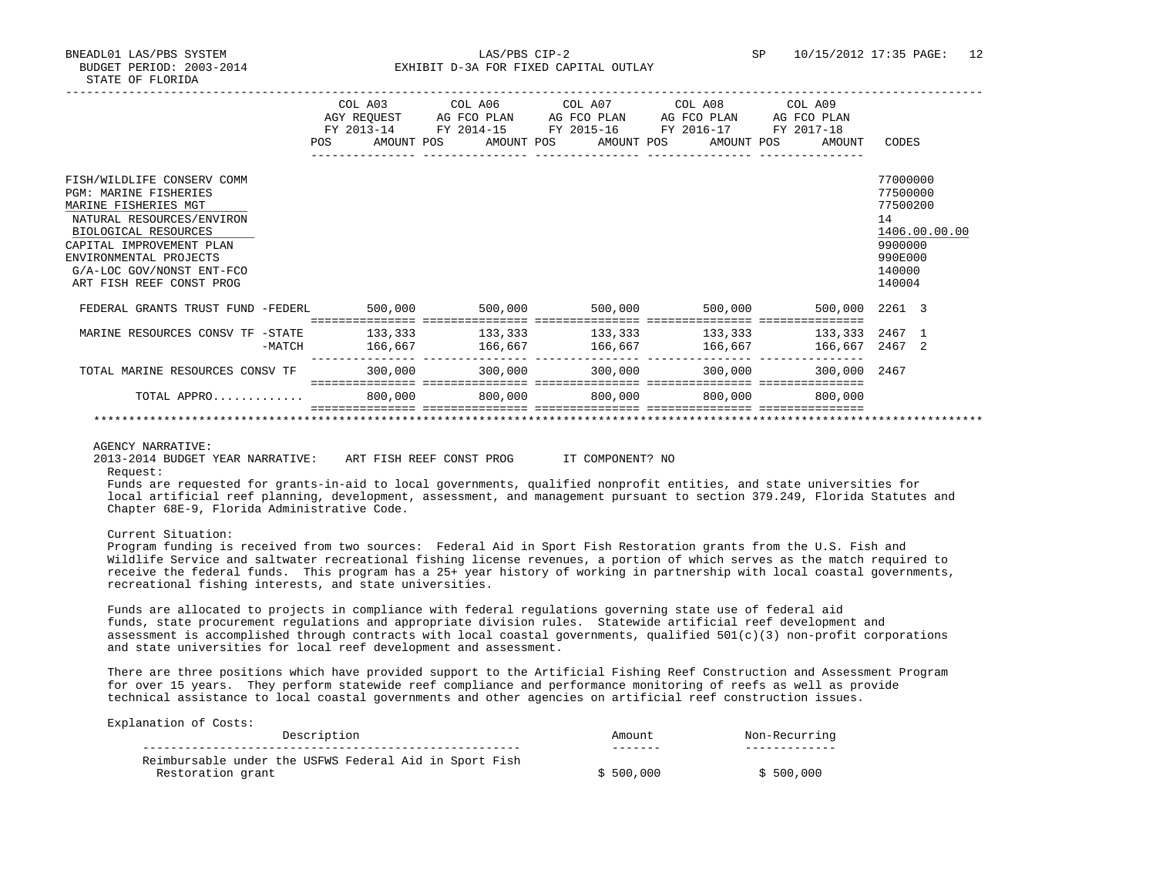BNEADL01 LAS/PBS SYSTEM 12<br>BUDGET PERIOD: 2003-2014 SP 10/15/2012 17:35 PAGE: 12 EXHIBIT D-3A FOR FIXED CAPITAL OUTLAY

| DIAID OF FUORIDA                                                                                                                                                                                                                                       |          |                    |            |                                                                                                                                 |                         |                       |                                     |                                                                                  |               |
|--------------------------------------------------------------------------------------------------------------------------------------------------------------------------------------------------------------------------------------------------------|----------|--------------------|------------|---------------------------------------------------------------------------------------------------------------------------------|-------------------------|-----------------------|-------------------------------------|----------------------------------------------------------------------------------|---------------|
|                                                                                                                                                                                                                                                        |          | POS                | AMOUNT POS | COL A03 COL A06 COL A07 COL A08 COL A09<br>AGY REOUEST AG FCO PLAN<br>FY 2013-14 FY 2014-15 FY 2015-16 FY 2016-17<br>AMOUNT POS | AG FCO PLAN AG FCO PLAN | AMOUNT POS AMOUNT POS | AG FCO PLAN<br>FY 2017-18<br>AMOUNT | CODES                                                                            |               |
|                                                                                                                                                                                                                                                        |          |                    |            |                                                                                                                                 |                         |                       |                                     |                                                                                  |               |
| FISH/WILDLIFE CONSERV COMM<br><b>PGM: MARINE FISHERIES</b><br>MARINE FISHERIES MGT<br>NATURAL RESOURCES/ENVIRON<br>BIOLOGICAL RESOURCES<br>CAPITAL IMPROVEMENT PLAN<br>ENVIRONMENTAL PROJECTS<br>G/A-LOC GOV/NONST ENT-FCO<br>ART FISH REEF CONST PROG |          |                    |            |                                                                                                                                 |                         |                       |                                     | 77000000<br>77500000<br>77500200<br>14<br>9900000<br>990E000<br>140000<br>140004 | 1406.00.00.00 |
| FEDERAL GRANTS TRUST FUND -FEDERL                                                                                                                                                                                                                      |          | 500,000            |            | 500,000                                                                                                                         | 500,000                 | 500,000               | 500,000 2261 3                      |                                                                                  |               |
| MARINE RESOURCES CONSV TF -STATE                                                                                                                                                                                                                       | $-MATCH$ | 133,333<br>166,667 |            | $133,333$ $133,333$ $133,333$<br>166,667                                                                                        | 166,667                 | 166,667               | 133,333 2467 1<br>166,667 2467 2    |                                                                                  |               |
| TOTAL MARINE RESOURCES CONSV TF                                                                                                                                                                                                                        |          | 300,000            |            | 300,000                                                                                                                         | 300,000                 | 300,000               | 300,000 2467                        |                                                                                  |               |
| TOTAL APPRO                                                                                                                                                                                                                                            |          | 800,000            |            | 800,000                                                                                                                         | 800,000                 | 800,000               | 800,000                             |                                                                                  |               |

#### \*\*\*\*\*\*\*\*\*\*\*\*\*\*\*\*\*\*\*\*\*\*\*\*\*\*\*\*\*\*\*\*\*\*\*\*\*\*\*\*\*\*\*\*\*\*\*\*\*\*\*\*\*\*\*\*\*\*\*\*\*\*\*\*\*\*\*\*\*\*\*\*\*\*\*\*\*\*\*\*\*\*\*\*\*\*\*\*\*\*\*\*\*\*\*\*\*\*\*\*\*\*\*\*\*\*\*\*\*\*\*\*\*\*\*\*\*\*\*\*\*\*\*\*\*\*\*

## AGENCY NARRATIVE:

2013-2014 BUDGET YEAR NARRATIVE: ART FISH REEF CONST PROG IT COMPONENT? NO

Request:

 Funds are requested for grants-in-aid to local governments, qualified nonprofit entities, and state universities for local artificial reef planning, development, assessment, and management pursuant to section 379.249, Florida Statutes and Chapter 68E-9, Florida Administrative Code.

#### Current Situation:

 Program funding is received from two sources: Federal Aid in Sport Fish Restoration grants from the U.S. Fish and Wildlife Service and saltwater recreational fishing license revenues, a portion of which serves as the match required to receive the federal funds. This program has a 25+ year history of working in partnership with local coastal governments, recreational fishing interests, and state universities.

 Funds are allocated to projects in compliance with federal regulations governing state use of federal aid funds, state procurement regulations and appropriate division rules. Statewide artificial reef development and assessment is accomplished through contracts with local coastal governments, qualified  $501(c)(3)$  non-profit corporations and state universities for local reef development and assessment.

 There are three positions which have provided support to the Artificial Fishing Reef Construction and Assessment Program for over 15 years. They perform statewide reef compliance and performance monitoring of reefs as well as provide technical assistance to local coastal governments and other agencies on artificial reef construction issues.

| Description                                            | Amount    | Non-Recurring |
|--------------------------------------------------------|-----------|---------------|
|                                                        |           |               |
| Reimbursable under the USFWS Federal Aid in Sport Fish |           |               |
| Restoration grant                                      | \$500.000 | \$500,000     |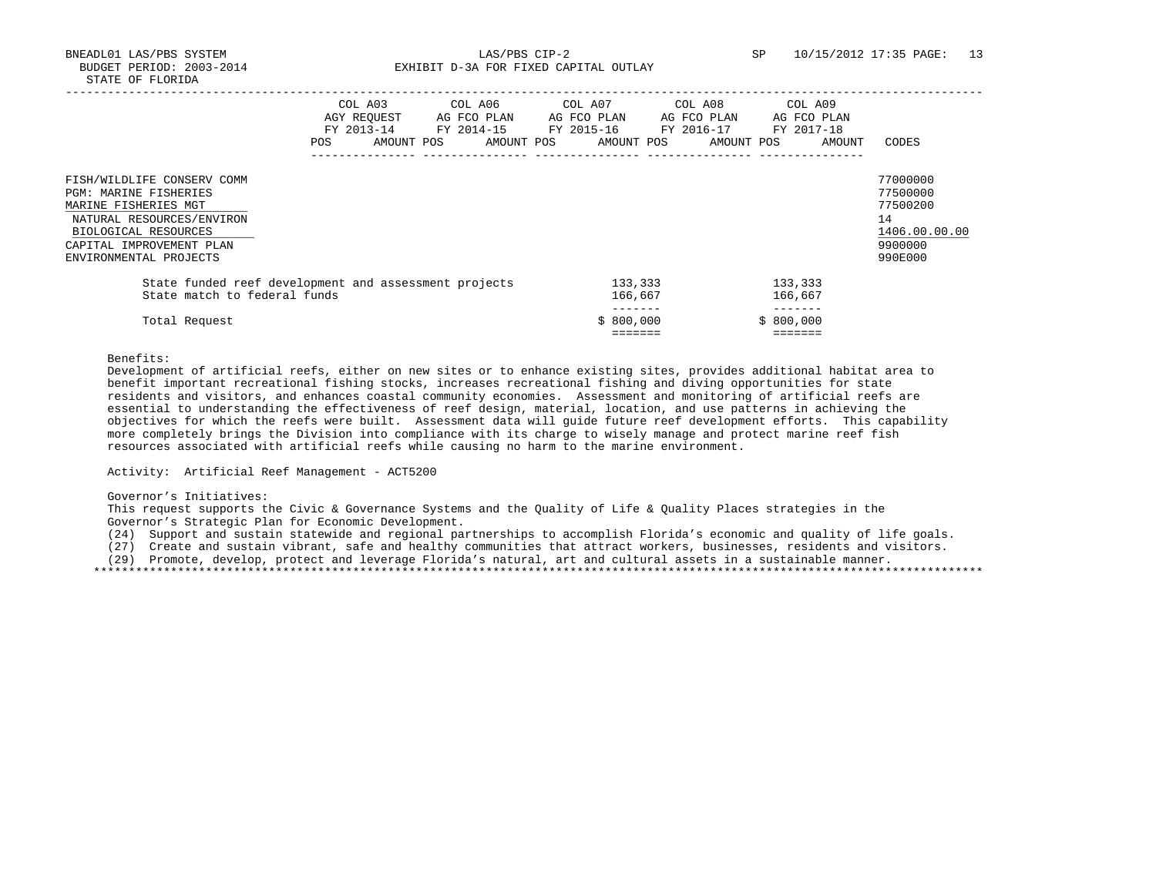BNEADL01 LAS/PBS SYSTEM LAS/PBS CIP-2 SP 10/15/2012 17:35 PAGE: 13 BUDGET PERIOD: 2003-2014 **EXHIBIT D-3A FOR FIXED CAPITAL OUTLAY** 

|                                                                                                                                                                                               | <b>POS</b> | COL A03<br>AGY REOUEST<br>FY 2013-14<br>AMOUNT POS | COL A06<br>AG FCO PLAN<br>FY 2014-15<br>AMOUNT POS | COL A07<br>FY 2015-16 | AG FCO PLAN<br>AMOUNT POS     |  | COL A08<br>AG FCO PLAN<br>FY 2016-17<br>AMOUNT POS | COL A09<br>AG FCO PLAN<br>FY 2017-18<br>AMOUNT | CODES                                                                         |
|-----------------------------------------------------------------------------------------------------------------------------------------------------------------------------------------------|------------|----------------------------------------------------|----------------------------------------------------|-----------------------|-------------------------------|--|----------------------------------------------------|------------------------------------------------|-------------------------------------------------------------------------------|
| FISH/WILDLIFE CONSERV COMM<br><b>PGM: MARINE FISHERIES</b><br>MARINE FISHERIES MGT<br>NATURAL RESOURCES/ENVIRON<br>BIOLOGICAL RESOURCES<br>CAPITAL IMPROVEMENT PLAN<br>ENVIRONMENTAL PROJECTS |            |                                                    |                                                    |                       |                               |  |                                                    |                                                | 77000000<br>77500000<br>77500200<br>14<br>1406.00.00.00<br>9900000<br>990E000 |
| State funded reef development and assessment projects<br>State match to federal funds                                                                                                         |            |                                                    |                                                    |                       | 133,333<br>166,667<br>------- |  |                                                    | 133,333<br>166,667                             |                                                                               |
| Total Request                                                                                                                                                                                 |            |                                                    |                                                    |                       | \$800,000<br>=======          |  |                                                    | \$800,000<br>=======                           |                                                                               |

Benefits:

 Development of artificial reefs, either on new sites or to enhance existing sites, provides additional habitat area to benefit important recreational fishing stocks, increases recreational fishing and diving opportunities for state residents and visitors, and enhances coastal community economies. Assessment and monitoring of artificial reefs are essential to understanding the effectiveness of reef design, material, location, and use patterns in achieving the objectives for which the reefs were built. Assessment data will guide future reef development efforts. This capability more completely brings the Division into compliance with its charge to wisely manage and protect marine reef fish resources associated with artificial reefs while causing no harm to the marine environment.

Activity: Artificial Reef Management - ACT5200

Governor's Initiatives:

 This request supports the Civic & Governance Systems and the Quality of Life & Quality Places strategies in the Governor's Strategic Plan for Economic Development.

(24) Support and sustain statewide and regional partnerships to accomplish Florida's economic and quality of life goals.

(27) Create and sustain vibrant, safe and healthy communities that attract workers, businesses, residents and visitors.

(29) Promote, develop, protect and leverage Florida's natural, art and cultural assets in a sustainable manner.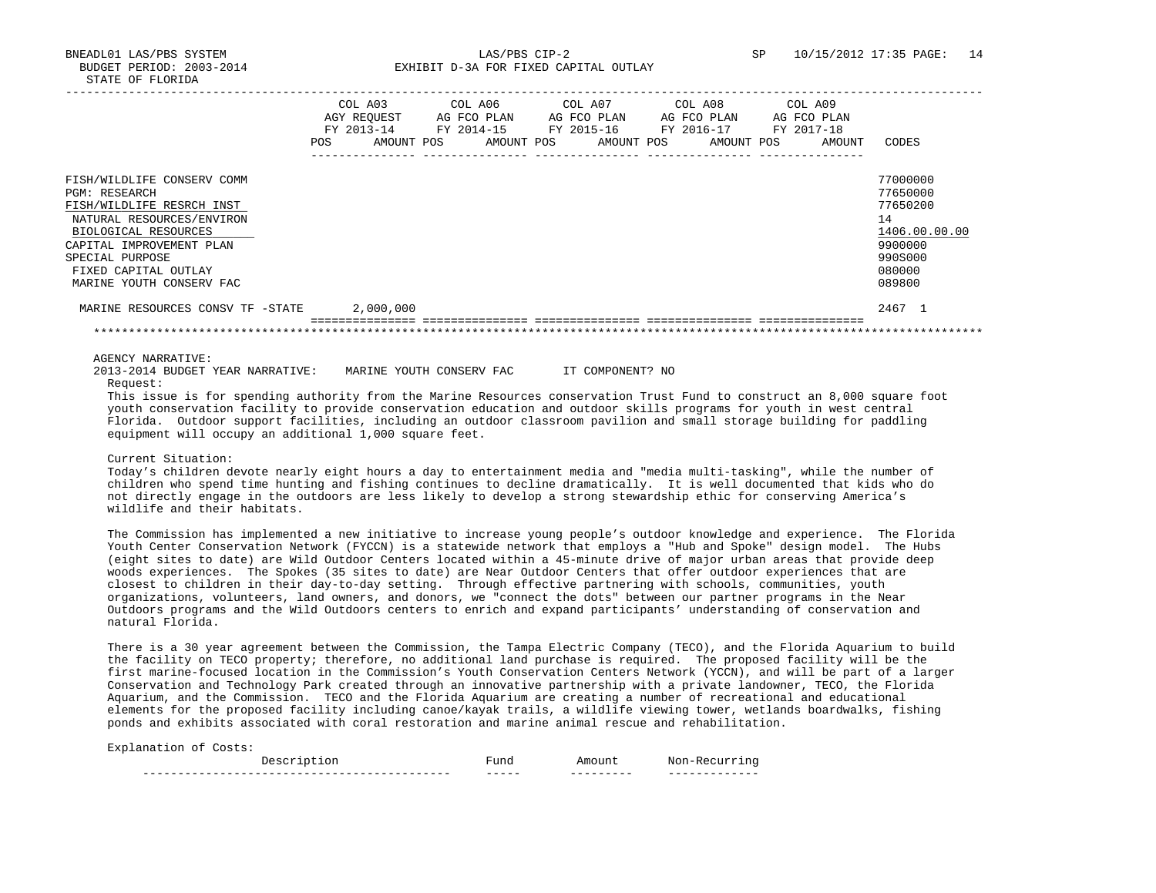BNEADL01 LAS/PBS SYSTEM LAS/PBS CIP-2 SP 10/15/2012 17:35 PAGE: 14 BUDGET PERIOD: 2003-2014 **EXHIBIT D-3A FOR FIXED CAPITAL OUTLAY** 

|                                                                                                                                                                                                                                         | <b>POS</b> | COL A03<br>AGY REOUEST<br>FY 2013-14<br>AMOUNT POS |  | COL A06<br>AG FCO PLAN<br>FY 2014-15<br>AMOUNT POS |  |  | COL A07<br>AG FCO PLAN<br>FY 2015-16<br>AMOUNT POS |  | COL A08<br>FY 2016-17 | AG FCO PLAN<br>AMOUNT POS | COL A09<br>AG FCO PLAN<br>FY 2017-18 | AMOUNT | CODES                                                                                             |
|-----------------------------------------------------------------------------------------------------------------------------------------------------------------------------------------------------------------------------------------|------------|----------------------------------------------------|--|----------------------------------------------------|--|--|----------------------------------------------------|--|-----------------------|---------------------------|--------------------------------------|--------|---------------------------------------------------------------------------------------------------|
| FISH/WILDLIFE CONSERV COMM<br><b>PGM: RESEARCH</b><br>FISH/WILDLIFE RESRCH INST<br>NATURAL RESOURCES/ENVIRON<br>BIOLOGICAL RESOURCES<br>CAPITAL IMPROVEMENT PLAN<br>SPECIAL PURPOSE<br>FIXED CAPITAL OUTLAY<br>MARINE YOUTH CONSERV FAC |            |                                                    |  |                                                    |  |  |                                                    |  |                       |                           |                                      |        | 77000000<br>77650000<br>77650200<br>14<br>1406.00.00.00<br>9900000<br>990S000<br>080000<br>089800 |
| MARINE RESOURCES CONSV TF -STATE                                                                                                                                                                                                        |            | 2,000,000                                          |  |                                                    |  |  |                                                    |  |                       |                           |                                      |        | 2467 1                                                                                            |
|                                                                                                                                                                                                                                         |            |                                                    |  |                                                    |  |  |                                                    |  |                       |                           |                                      |        |                                                                                                   |

AGENCY NARRATIVE:

 2013-2014 BUDGET YEAR NARRATIVE: MARINE YOUTH CONSERV FAC IT COMPONENT? NO Request:

 This issue is for spending authority from the Marine Resources conservation Trust Fund to construct an 8,000 square foot youth conservation facility to provide conservation education and outdoor skills programs for youth in west central Florida. Outdoor support facilities, including an outdoor classroom pavilion and small storage building for paddling equipment will occupy an additional 1,000 square feet.

# Current Situation:

 Today's children devote nearly eight hours a day to entertainment media and "media multi-tasking", while the number of children who spend time hunting and fishing continues to decline dramatically. It is well documented that kids who do not directly engage in the outdoors are less likely to develop a strong stewardship ethic for conserving America's wildlife and their habitats.

 The Commission has implemented a new initiative to increase young people's outdoor knowledge and experience. The Florida Youth Center Conservation Network (FYCCN) is a statewide network that employs a "Hub and Spoke" design model. The Hubs (eight sites to date) are Wild Outdoor Centers located within a 45-minute drive of major urban areas that provide deep woods experiences. The Spokes (35 sites to date) are Near Outdoor Centers that offer outdoor experiences that are closest to children in their day-to-day setting. Through effective partnering with schools, communities, youth organizations, volunteers, land owners, and donors, we "connect the dots" between our partner programs in the Near Outdoors programs and the Wild Outdoors centers to enrich and expand participants' understanding of conservation and natural Florida.

 There is a 30 year agreement between the Commission, the Tampa Electric Company (TECO), and the Florida Aquarium to build the facility on TECO property; therefore, no additional land purchase is required. The proposed facility will be the first marine-focused location in the Commission's Youth Conservation Centers Network (YCCN), and will be part of a larger Conservation and Technology Park created through an innovative partnership with a private landowner, TECO, the Florida Aquarium, and the Commission. TECO and the Florida Aquarium are creating a number of recreational and educational elements for the proposed facility including canoe/kayak trails, a wildlife viewing tower, wetlands boardwalks, fishing ponds and exhibits associated with coral restoration and marine animal rescue and rehabilitation.

|              |                  |                                  | .<br>_____                                      |
|--------------|------------------|----------------------------------|-------------------------------------------------|
| ------------ | ------<br>______ | _________<br>_ _ _ _ _ _ _ _ _ _ | ______________<br>_ _ _ _ _ _ _ _ _ _ _<br>____ |